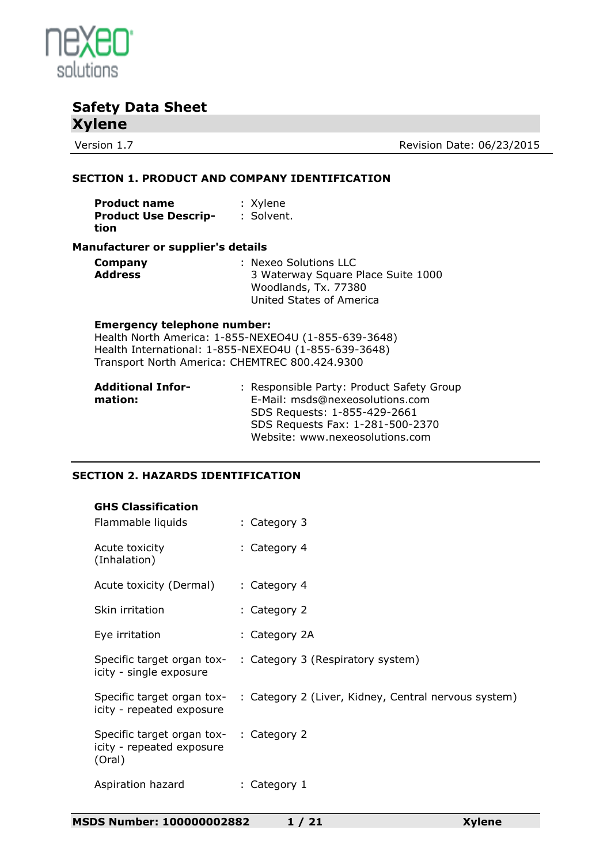

Version 1.7 Version 1.7

#### **SECTION 1. PRODUCT AND COMPANY IDENTIFICATION**

| <b>Product name</b>         | : Xylene   |
|-----------------------------|------------|
| <b>Product Use Descrip-</b> | : Solvent. |
| tion                        |            |

#### **Manufacturer or supplier's details**

| Company        | : Nexeo Solutions LLC              |
|----------------|------------------------------------|
| <b>Address</b> | 3 Waterway Square Place Suite 1000 |
|                | Woodlands, Tx. 77380               |
|                | United States of America           |

#### **Emergency telephone number:**

Health North America: 1-855-NEXEO4U (1-855-639-3648) Health International: 1-855-NEXEO4U (1-855-639-3648) Transport North America: CHEMTREC 800.424.9300

| <b>Additional Infor-</b> | : Responsible Party: Product Safety Group |
|--------------------------|-------------------------------------------|
| mation:                  | E-Mail: msds@nexeosolutions.com           |
|                          | SDS Requests: 1-855-429-2661              |
|                          | SDS Requests Fax: 1-281-500-2370          |
|                          | Website: www.nexeosolutions.com           |

#### **SECTION 2. HAZARDS IDENTIFICATION**

|        | CIIUN Z. HAZARDƏ IDEN IIFICATIUN.                                    |                                                                                 |
|--------|----------------------------------------------------------------------|---------------------------------------------------------------------------------|
|        | <b>GHS Classification</b><br>Flammable liquids                       | : Category 3                                                                    |
|        | Acute toxicity<br>(Inhalation)                                       | : Category 4                                                                    |
|        | Acute toxicity (Dermal)                                              | : Category 4                                                                    |
|        | Skin irritation                                                      | : Category 2                                                                    |
|        | Eye irritation                                                       | : Category 2A                                                                   |
|        | icity - single exposure                                              | Specific target organ tox- : Category 3 (Respiratory system)                    |
|        | icity - repeated exposure                                            | Specific target organ tox- : Category 2 (Liver, Kidney, Central nervous system) |
| (Oral) | Specific target organ tox- : Category 2<br>icity - repeated exposure |                                                                                 |
|        | Aspiration hazard                                                    | : Category 1                                                                    |
|        |                                                                      |                                                                                 |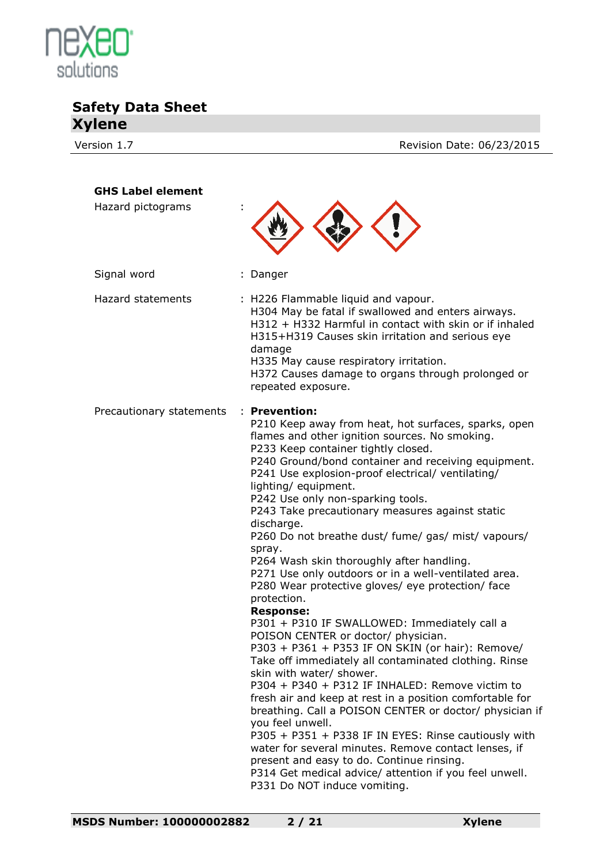

Version 1.7 **Version 1.7** Revision Date: 06/23/2015

| <b>GHS Label element</b><br>Hazard pictograms |                                                                                                                                                                                                                                                                                                                                                                                                                                                                                                                                                                                                                                                                                                                                                                                                                                                                                                                                                                                                                                                                                                                                                                                                                                                                                                                                                             |
|-----------------------------------------------|-------------------------------------------------------------------------------------------------------------------------------------------------------------------------------------------------------------------------------------------------------------------------------------------------------------------------------------------------------------------------------------------------------------------------------------------------------------------------------------------------------------------------------------------------------------------------------------------------------------------------------------------------------------------------------------------------------------------------------------------------------------------------------------------------------------------------------------------------------------------------------------------------------------------------------------------------------------------------------------------------------------------------------------------------------------------------------------------------------------------------------------------------------------------------------------------------------------------------------------------------------------------------------------------------------------------------------------------------------------|
| Signal word                                   | : Danger                                                                                                                                                                                                                                                                                                                                                                                                                                                                                                                                                                                                                                                                                                                                                                                                                                                                                                                                                                                                                                                                                                                                                                                                                                                                                                                                                    |
| Hazard statements                             | : H226 Flammable liquid and vapour.<br>H304 May be fatal if swallowed and enters airways.<br>H312 + H332 Harmful in contact with skin or if inhaled<br>H315+H319 Causes skin irritation and serious eye<br>damage<br>H335 May cause respiratory irritation.<br>H372 Causes damage to organs through prolonged or<br>repeated exposure.                                                                                                                                                                                                                                                                                                                                                                                                                                                                                                                                                                                                                                                                                                                                                                                                                                                                                                                                                                                                                      |
| Precautionary statements                      | : Prevention:<br>P210 Keep away from heat, hot surfaces, sparks, open<br>flames and other ignition sources. No smoking.<br>P233 Keep container tightly closed.<br>P240 Ground/bond container and receiving equipment.<br>P241 Use explosion-proof electrical/ ventilating/<br>lighting/ equipment.<br>P242 Use only non-sparking tools.<br>P243 Take precautionary measures against static<br>discharge.<br>P260 Do not breathe dust/ fume/ gas/ mist/ vapours/<br>spray.<br>P264 Wash skin thoroughly after handling.<br>P271 Use only outdoors or in a well-ventilated area.<br>P280 Wear protective gloves/ eye protection/ face<br>protection.<br><b>Response:</b><br>P301 + P310 IF SWALLOWED: Immediately call a<br>POISON CENTER or doctor/ physician.<br>P303 + P361 + P353 IF ON SKIN (or hair): Remove/<br>Take off immediately all contaminated clothing. Rinse<br>skin with water/ shower.<br>P304 + P340 + P312 IF INHALED: Remove victim to<br>fresh air and keep at rest in a position comfortable for<br>breathing. Call a POISON CENTER or doctor/ physician if<br>you feel unwell.<br>P305 + P351 + P338 IF IN EYES: Rinse cautiously with<br>water for several minutes. Remove contact lenses, if<br>present and easy to do. Continue rinsing.<br>P314 Get medical advice/ attention if you feel unwell.<br>P331 Do NOT induce vomiting. |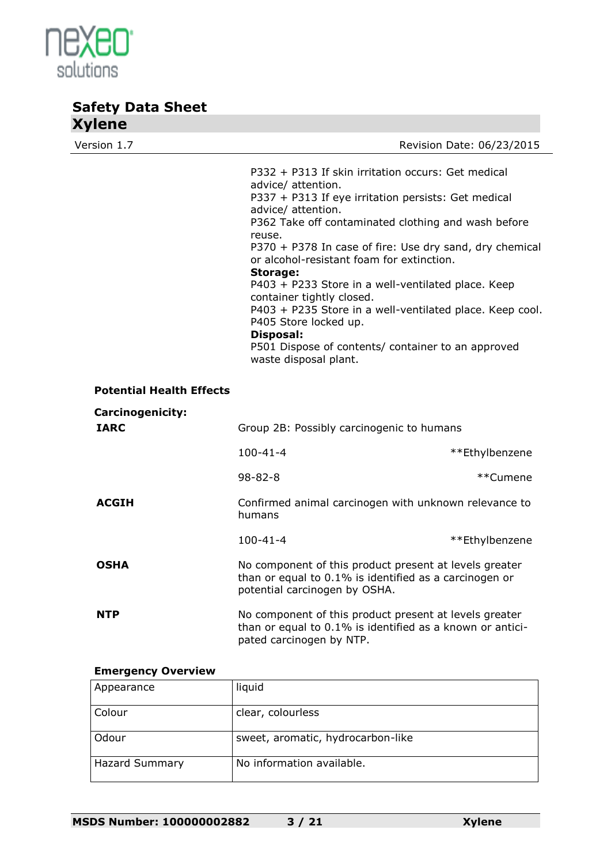

| Version 1.7                            |                                                                                                                                                                                                                                                                                                                                                                                                                                                                                                                                                                                                                |                           |
|----------------------------------------|----------------------------------------------------------------------------------------------------------------------------------------------------------------------------------------------------------------------------------------------------------------------------------------------------------------------------------------------------------------------------------------------------------------------------------------------------------------------------------------------------------------------------------------------------------------------------------------------------------------|---------------------------|
|                                        | P332 + P313 If skin irritation occurs: Get medical<br>advice/ attention.<br>P337 + P313 If eye irritation persists: Get medical<br>advice/ attention.<br>P362 Take off contaminated clothing and wash before<br>reuse.<br>P370 + P378 In case of fire: Use dry sand, dry chemical<br>or alcohol-resistant foam for extinction.<br>Storage:<br>P403 + P233 Store in a well-ventilated place. Keep<br>container tightly closed.<br>P403 + P235 Store in a well-ventilated place. Keep cool.<br>P405 Store locked up.<br>Disposal:<br>P501 Dispose of contents/ container to an approved<br>waste disposal plant. | Revision Date: 06/23/2015 |
| <b>Potential Health Effects</b>        |                                                                                                                                                                                                                                                                                                                                                                                                                                                                                                                                                                                                                |                           |
| <b>Carcinogenicity:</b><br><b>IARC</b> | Group 2B: Possibly carcinogenic to humans                                                                                                                                                                                                                                                                                                                                                                                                                                                                                                                                                                      |                           |
|                                        | $100 - 41 - 4$                                                                                                                                                                                                                                                                                                                                                                                                                                                                                                                                                                                                 | **Ethylbenzene            |
|                                        | $98 - 82 - 8$                                                                                                                                                                                                                                                                                                                                                                                                                                                                                                                                                                                                  | **Cumene                  |
| <b>ACGIH</b>                           | Confirmed animal carcinogen with unknown relevance to<br>humans                                                                                                                                                                                                                                                                                                                                                                                                                                                                                                                                                |                           |
|                                        | $100 - 41 - 4$                                                                                                                                                                                                                                                                                                                                                                                                                                                                                                                                                                                                 | **Ethylbenzene            |
| <b>OSHA</b>                            | No component of this product present at levels greater<br>than or equal to 0.1% is identified as a carcinogen or<br>potential carcinogen by OSHA.                                                                                                                                                                                                                                                                                                                                                                                                                                                              |                           |
| NTP                                    | No component of this product present at levels greater<br>than or equal to 0.1% is identified as a known or antici-<br>pated carcinogen by NTP.                                                                                                                                                                                                                                                                                                                                                                                                                                                                |                           |

#### **Emergency Overview**

| Appearance     | liquid                            |
|----------------|-----------------------------------|
| Colour         | clear, colourless                 |
| Odour          | sweet, aromatic, hydrocarbon-like |
| Hazard Summary | No information available.         |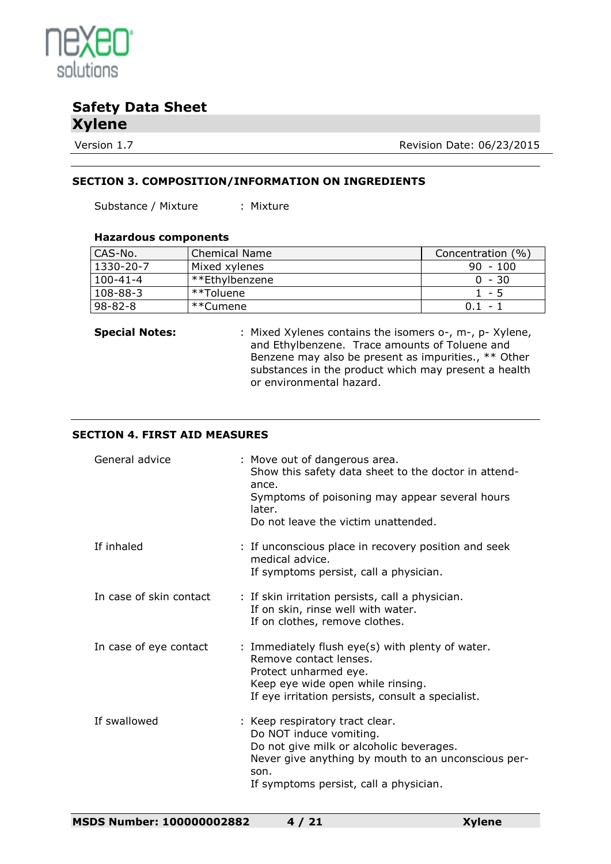

Version 1.7 Version 1.7

#### **SECTION 3. COMPOSITION/INFORMATION ON INGREDIENTS**

Substance / Mixture : Mixture

#### **Hazardous components**

| CAS-No.       | <b>Chemical Name</b> | Concentration (%) |
|---------------|----------------------|-------------------|
| 1330-20-7     | Mixed xylenes        | $90 - 100$        |
| 100-41-4      | **Ethylbenzene       | $0 - 30$          |
| 108-88-3      | **Toluene            | $1 - 5$           |
| $98 - 82 - 8$ | ı **Cumene           | 0.1<br>$\sim$     |

**Special Notes:** : Mixed Xylenes contains the isomers o-, m-, p- Xylene, and Ethylbenzene. Trace amounts of Toluene and Benzene may also be present as impurities., \*\* Other substances in the product which may present a health or environmental hazard.

#### **SECTION 4. FIRST AID MEASURES**

| General advice          | : Move out of dangerous area.<br>Show this safety data sheet to the doctor in attend-<br>ance.<br>Symptoms of poisoning may appear several hours<br>later.<br>Do not leave the victim unattended.               |
|-------------------------|-----------------------------------------------------------------------------------------------------------------------------------------------------------------------------------------------------------------|
| If inhaled              | : If unconscious place in recovery position and seek<br>medical advice.<br>If symptoms persist, call a physician.                                                                                               |
| In case of skin contact | : If skin irritation persists, call a physician.<br>If on skin, rinse well with water.<br>If on clothes, remove clothes.                                                                                        |
| In case of eye contact  | : Immediately flush eye(s) with plenty of water.<br>Remove contact lenses.<br>Protect unharmed eye.<br>Keep eye wide open while rinsing.<br>If eye irritation persists, consult a specialist.                   |
| If swallowed            | : Keep respiratory tract clear.<br>Do NOT induce vomiting.<br>Do not give milk or alcoholic beverages.<br>Never give anything by mouth to an unconscious per-<br>son.<br>If symptoms persist, call a physician. |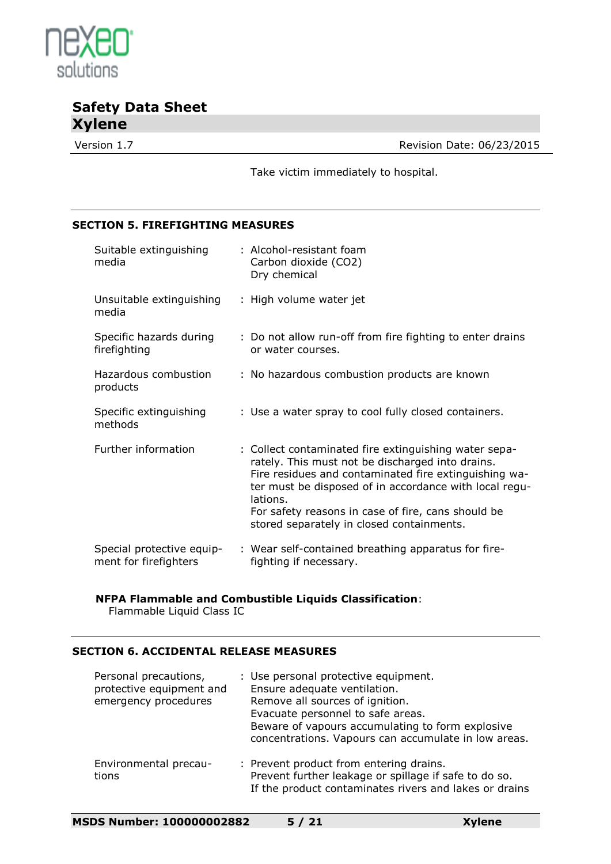

Version 1.7 **Version 1.7** Revision Date: 06/23/2015

Take victim immediately to hospital.

#### **SECTION 5. FIREFIGHTING MEASURES**

| Suitable extinguishing<br>media                    | : Alcohol-resistant foam<br>Carbon dioxide (CO2)<br>Dry chemical                                                                                                                                                                                                                                                                            |
|----------------------------------------------------|---------------------------------------------------------------------------------------------------------------------------------------------------------------------------------------------------------------------------------------------------------------------------------------------------------------------------------------------|
| Unsuitable extinguishing<br>media                  | : High volume water jet                                                                                                                                                                                                                                                                                                                     |
| Specific hazards during<br>firefighting            | : Do not allow run-off from fire fighting to enter drains<br>or water courses.                                                                                                                                                                                                                                                              |
| Hazardous combustion<br>products                   | : No hazardous combustion products are known                                                                                                                                                                                                                                                                                                |
| Specific extinguishing<br>methods                  | : Use a water spray to cool fully closed containers.                                                                                                                                                                                                                                                                                        |
| Further information                                | : Collect contaminated fire extinguishing water sepa-<br>rately. This must not be discharged into drains.<br>Fire residues and contaminated fire extinguishing wa-<br>ter must be disposed of in accordance with local regu-<br>lations.<br>For safety reasons in case of fire, cans should be<br>stored separately in closed containments. |
| Special protective equip-<br>ment for firefighters | : Wear self-contained breathing apparatus for fire-<br>fighting if necessary.                                                                                                                                                                                                                                                               |

#### **NFPA Flammable and Combustible Liquids Classification**:

Flammable Liquid Class IC

#### **SECTION 6. ACCIDENTAL RELEASE MEASURES**

| Personal precautions,<br>protective equipment and<br>emergency procedures | : Use personal protective equipment.<br>Ensure adequate ventilation.<br>Remove all sources of ignition.<br>Evacuate personnel to safe areas.<br>Beware of vapours accumulating to form explosive<br>concentrations. Vapours can accumulate in low areas. |
|---------------------------------------------------------------------------|----------------------------------------------------------------------------------------------------------------------------------------------------------------------------------------------------------------------------------------------------------|
| Environmental precau-<br>tions                                            | : Prevent product from entering drains.<br>Prevent further leakage or spillage if safe to do so.<br>If the product contaminates rivers and lakes or drains                                                                                               |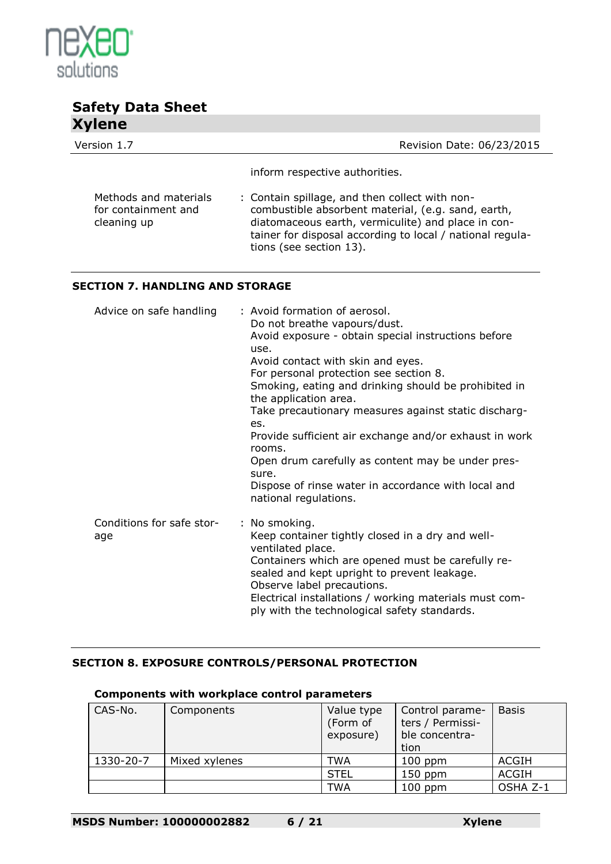

| <b>TYTULE</b>                                               |                                                                                                                                                                                                                                                    |
|-------------------------------------------------------------|----------------------------------------------------------------------------------------------------------------------------------------------------------------------------------------------------------------------------------------------------|
| Version 1.7                                                 | Revision Date: 06/23/2015                                                                                                                                                                                                                          |
|                                                             | inform respective authorities.                                                                                                                                                                                                                     |
| Methods and materials<br>for containment and<br>cleaning up | : Contain spillage, and then collect with non-<br>combustible absorbent material, (e.g. sand, earth,<br>diatomaceous earth, vermiculite) and place in con-<br>tainer for disposal according to local / national regula-<br>tions (see section 13). |

#### **SECTION 7. HANDLING AND STORAGE**

| Advice on safe handling          | : Avoid formation of aerosol.<br>Do not breathe vapours/dust.<br>Avoid exposure - obtain special instructions before<br>use.<br>Avoid contact with skin and eyes.<br>For personal protection see section 8.<br>Smoking, eating and drinking should be prohibited in<br>the application area.<br>Take precautionary measures against static discharg-<br>es.<br>Provide sufficient air exchange and/or exhaust in work<br>rooms.<br>Open drum carefully as content may be under pres-<br>sure.<br>Dispose of rinse water in accordance with local and<br>national regulations. |
|----------------------------------|-------------------------------------------------------------------------------------------------------------------------------------------------------------------------------------------------------------------------------------------------------------------------------------------------------------------------------------------------------------------------------------------------------------------------------------------------------------------------------------------------------------------------------------------------------------------------------|
| Conditions for safe stor-<br>age | : No smoking.<br>Keep container tightly closed in a dry and well-<br>ventilated place.<br>Containers which are opened must be carefully re-<br>sealed and kept upright to prevent leakage.<br>Observe label precautions.<br>Electrical installations / working materials must com-<br>ply with the technological safety standards.                                                                                                                                                                                                                                            |

### **SECTION 8. EXPOSURE CONTROLS/PERSONAL PROTECTION**

| CAS-No.   | Components    | Value type<br>(Form of<br>exposure) | Control parame-<br>ters / Permissi-<br>ble concentra-<br>tion | <b>Basis</b> |
|-----------|---------------|-------------------------------------|---------------------------------------------------------------|--------------|
| 1330-20-7 | Mixed xylenes | TWA                                 | $100$ ppm                                                     | ACGIH        |
|           |               | <b>STEL</b>                         | $150$ ppm                                                     | ACGIH        |
|           |               | TWA                                 | $100$ ppm                                                     | OSHA Z-1     |

#### **Components with workplace control parameters**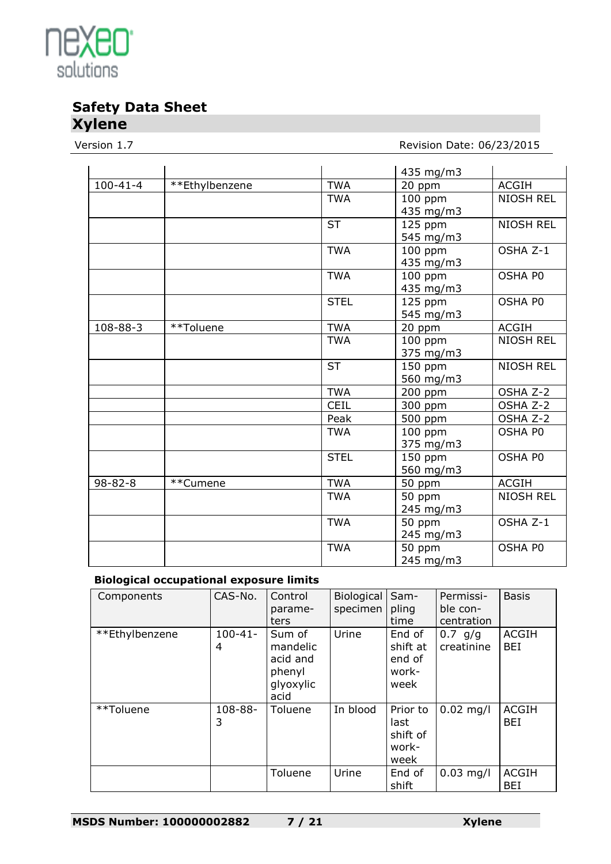

Version 1.7 **Version 1.7** Revision Date: 06/23/2015

|                |                |             | 435 mg/m3 |                  |
|----------------|----------------|-------------|-----------|------------------|
| $100 - 41 - 4$ | **Ethylbenzene | <b>TWA</b>  | 20 ppm    | <b>ACGIH</b>     |
|                |                | <b>TWA</b>  | 100 ppm   | <b>NIOSH REL</b> |
|                |                |             | 435 mg/m3 |                  |
|                |                | <b>ST</b>   | 125 ppm   | <b>NIOSH REL</b> |
|                |                |             | 545 mg/m3 |                  |
|                |                | <b>TWA</b>  | 100 ppm   | OSHA Z-1         |
|                |                |             | 435 mg/m3 |                  |
|                |                | <b>TWA</b>  | $100$ ppm | OSHA P0          |
|                |                |             | 435 mg/m3 |                  |
|                |                | <b>STEL</b> | 125 ppm   | OSHA P0          |
|                |                |             | 545 mg/m3 |                  |
| 108-88-3       | **Toluene      | <b>TWA</b>  | 20 ppm    | <b>ACGIH</b>     |
|                |                | <b>TWA</b>  | 100 ppm   | <b>NIOSH REL</b> |
|                |                |             | 375 mg/m3 |                  |
|                |                | <b>ST</b>   | 150 ppm   | <b>NIOSH REL</b> |
|                |                |             | 560 mg/m3 |                  |
|                |                | <b>TWA</b>  | 200 ppm   | OSHA Z-2         |
|                |                | <b>CEIL</b> | 300 ppm   | OSHA Z-2         |
|                |                | Peak        | 500 ppm   | OSHA Z-2         |
|                |                | <b>TWA</b>  | 100 ppm   | OSHA PO          |
|                |                |             | 375 mg/m3 |                  |
|                |                | <b>STEL</b> | $150$ ppm | OSHA P0          |
|                |                |             | 560 mg/m3 |                  |
| $98 - 82 - 8$  | **Cumene       | <b>TWA</b>  | 50 ppm    | <b>ACGIH</b>     |
|                |                | <b>TWA</b>  | 50 ppm    | <b>NIOSH REL</b> |
|                |                |             | 245 mg/m3 |                  |
|                |                | <b>TWA</b>  | 50 ppm    | OSHA Z-1         |
|                |                |             | 245 mg/m3 |                  |
|                |                | <b>TWA</b>  | 50 ppm    | OSHA P0          |
|                |                |             | 245 mg/m3 |                  |

#### **Biological occupational exposure limits**

| Components     | CAS-No.           | Control<br>parame-<br>ters                                    | Biological<br>specimen | Sam-<br>pling<br>time                         | Permissi-<br>ble con-<br>centration | <b>Basis</b>               |
|----------------|-------------------|---------------------------------------------------------------|------------------------|-----------------------------------------------|-------------------------------------|----------------------------|
| **Ethylbenzene | $100 - 41 -$<br>4 | Sum of<br>mandelic<br>acid and<br>phenyl<br>glyoxylic<br>acid | Urine                  | End of<br>shift at<br>end of<br>work-<br>week | $0.7$ g/g<br>creatinine             | <b>ACGIH</b><br>BEI        |
| **Toluene      | 108-88-<br>3      | Toluene                                                       | In blood               | Prior to<br>last<br>shift of<br>work-<br>week | $0.02$ mg/l                         | <b>ACGIH</b><br><b>BEI</b> |
|                |                   | Toluene                                                       | Urine                  | End of<br>shift                               | $0.03$ mg/l                         | <b>ACGIH</b><br><b>BEI</b> |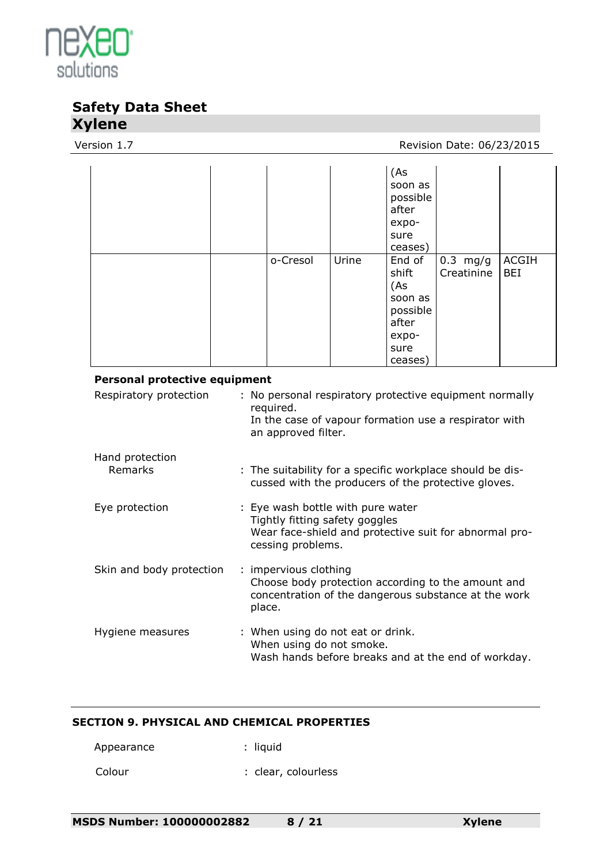

#### Version 1.7 Version 1.7

|                                      |                                                                                                                                                      |       | (As<br>soon as<br>possible<br>after<br>expo-<br>sure<br>ceases)                    |                          |                            |  |
|--------------------------------------|------------------------------------------------------------------------------------------------------------------------------------------------------|-------|------------------------------------------------------------------------------------|--------------------------|----------------------------|--|
|                                      | o-Cresol                                                                                                                                             | Urine | End of<br>shift<br>(As<br>soon as<br>possible<br>after<br>expo-<br>sure<br>ceases) | $0.3$ mg/g<br>Creatinine | <b>ACGIH</b><br><b>BEI</b> |  |
| <b>Personal protective equipment</b> |                                                                                                                                                      |       |                                                                                    |                          |                            |  |
| Respiratory protection               | : No personal respiratory protective equipment normally<br>required.<br>In the case of vapour formation use a respirator with<br>an approved filter. |       |                                                                                    |                          |                            |  |
| Hand protection<br>Remarks           | : The suitability for a specific workplace should be dis-<br>cussed with the producers of the protective gloves.                                     |       |                                                                                    |                          |                            |  |
| Eye protection                       | : Eye wash bottle with pure water<br>Tightly fitting safety goggles<br>Wear face-shield and protective suit for abnormal pro-<br>cessing problems.   |       |                                                                                    |                          |                            |  |
| Skin and body protection             | : impervious clothing<br>Choose body protection according to the amount and<br>concentration of the dangerous substance at the work<br>place.        |       |                                                                                    |                          |                            |  |
| Hygiene measures                     | : When using do not eat or drink.<br>When using do not smoke.<br>Wash hands before breaks and at the end of workday.                                 |       |                                                                                    |                          |                            |  |

#### **SECTION 9. PHYSICAL AND CHEMICAL PROPERTIES**

Appearance : liquid

Colour : clear, colourless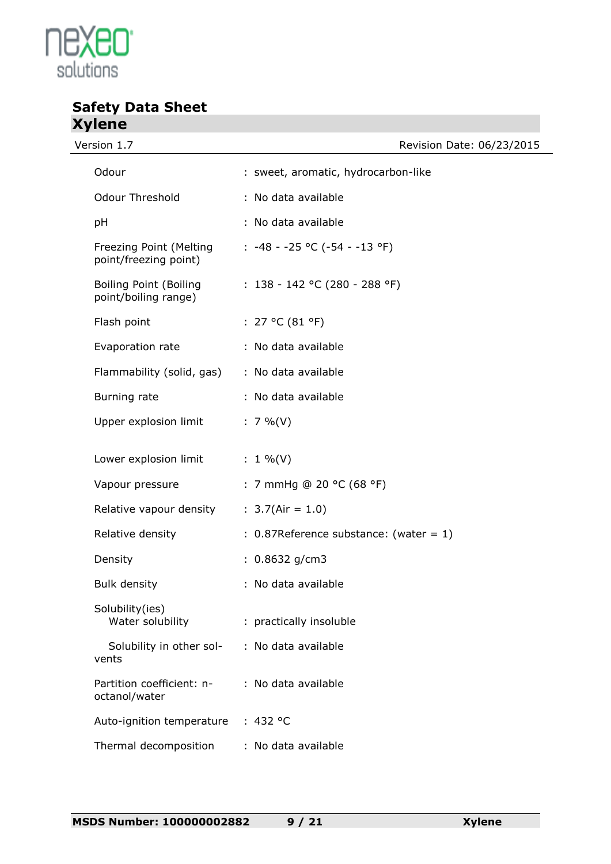

Version 1.7

# **Safety Data Sheet Xylene**

| Revision Date: 06/23/2015 |  |  |
|---------------------------|--|--|
|                           |  |  |

| Odour                                                 | : sweet, aromatic, hydrocarbon-like       |
|-------------------------------------------------------|-------------------------------------------|
| <b>Odour Threshold</b>                                | : No data available                       |
| рH                                                    | : No data available                       |
| Freezing Point (Melting<br>point/freezing point)      | $: -48 - -25$ °C (-54 - -13 °F)           |
| <b>Boiling Point (Boiling</b><br>point/boiling range) | : $138 - 142$ °C (280 - 288 °F)           |
| Flash point                                           | : $27 °C (81 °F)$                         |
| Evaporation rate                                      | : No data available                       |
| Flammability (solid, gas)                             | : No data available                       |
| Burning rate                                          | : No data available                       |
| Upper explosion limit                                 | $: 7 \%$ (V)                              |
| Lower explosion limit                                 | : $1\%$ (V)                               |
| Vapour pressure                                       | : 7 mmHg @ 20 °C (68 °F)                  |
| Relative vapour density                               | : $3.7(Air = 1.0)$                        |
| Relative density                                      | $: 0.87$ Reference substance: (water = 1) |
| Density                                               | $: 0.8632$ g/cm3                          |
| <b>Bulk density</b>                                   | : No data available                       |
| Solubility(ies)<br>Water solubility                   | : practically insoluble                   |
| Solubility in other sol-<br>vents                     | : No data available                       |
| Partition coefficient: n-<br>octanol/water            | : No data available                       |
| Auto-ignition temperature                             | : 432 °C                                  |
| Thermal decomposition                                 | : No data available                       |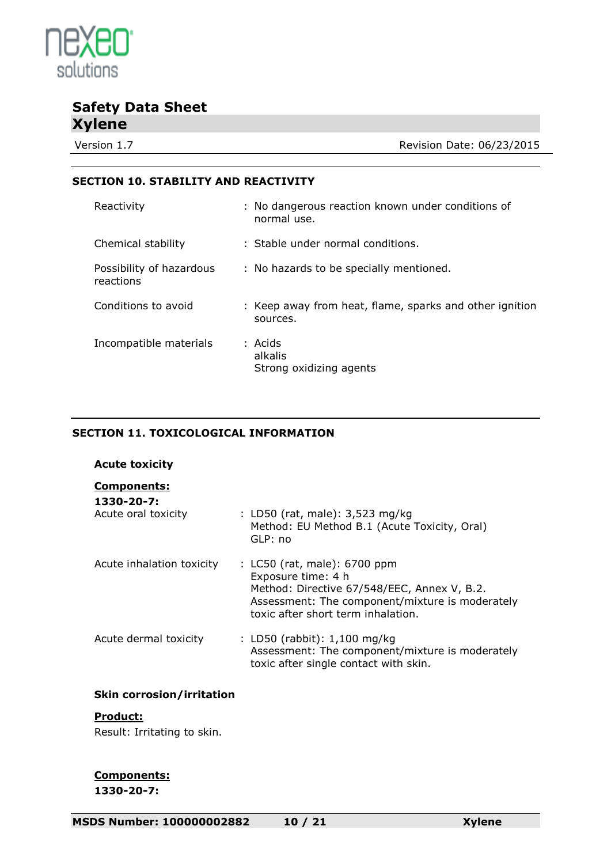

Version 1.7 Version 1.7

#### **SECTION 10. STABILITY AND REACTIVITY**

| Reactivity                            | : No dangerous reaction known under conditions of<br>normal use.    |
|---------------------------------------|---------------------------------------------------------------------|
| Chemical stability                    | : Stable under normal conditions.                                   |
| Possibility of hazardous<br>reactions | : No hazards to be specially mentioned.                             |
| Conditions to avoid                   | : Keep away from heat, flame, sparks and other ignition<br>sources. |
| Incompatible materials                | : Acids<br>alkalis<br>Strong oxidizing agents                       |

### **SECTION 11. TOXICOLOGICAL INFORMATION**

| <b>Acute toxicity</b>                                   |                                                                                                                                                                                            |
|---------------------------------------------------------|--------------------------------------------------------------------------------------------------------------------------------------------------------------------------------------------|
| <b>Components:</b><br>1330-20-7:<br>Acute oral toxicity | : LD50 (rat, male): 3,523 mg/kg<br>Method: EU Method B.1 (Acute Toxicity, Oral)<br>GLP: no                                                                                                 |
| Acute inhalation toxicity                               | : LC50 (rat, male): 6700 ppm<br>Exposure time: 4 h<br>Method: Directive 67/548/EEC, Annex V, B.2.<br>Assessment: The component/mixture is moderately<br>toxic after short term inhalation. |
| Acute dermal toxicity                                   | : LD50 (rabbit): 1,100 mg/kg<br>Assessment: The component/mixture is moderately<br>toxic after single contact with skin.                                                                   |

#### **Skin corrosion/irritation**

#### **Product:**

Result: Irritating to skin.

#### **Components: 1330-20-7:**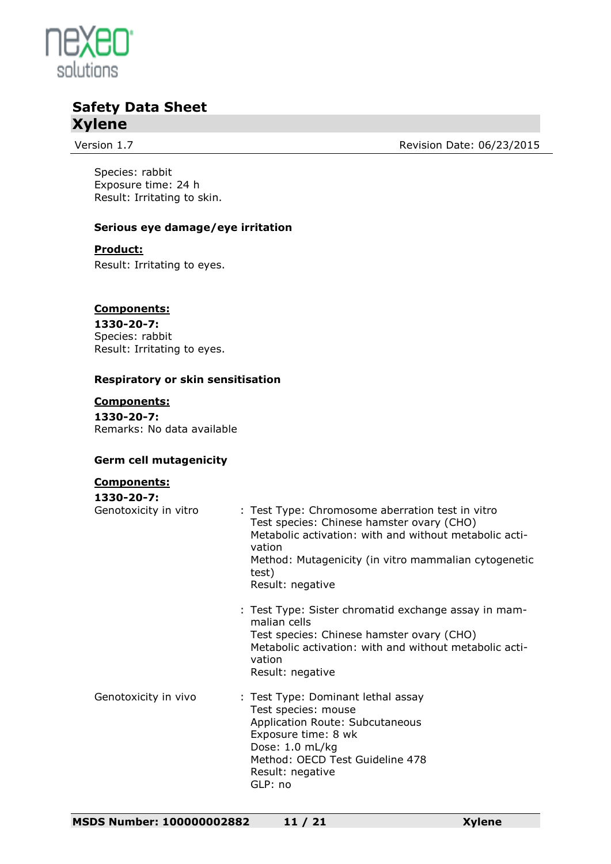

Version 1.7 **Version 1.7** Revision Date: 06/23/2015

Species: rabbit Exposure time: 24 h Result: Irritating to skin.

#### **Serious eye damage/eye irritation**

#### **Product:**

Result: Irritating to eyes.

#### **Components:**

**1330-20-7:** Species: rabbit Result: Irritating to eyes.

#### **Respiratory or skin sensitisation**

#### **Components:**

**1330-20-7:** Remarks: No data available

#### **Germ cell mutagenicity**

#### **Components:**

| 1330-20-7:            |                                                                                                                                                                                                                                                        |
|-----------------------|--------------------------------------------------------------------------------------------------------------------------------------------------------------------------------------------------------------------------------------------------------|
| Genotoxicity in vitro | : Test Type: Chromosome aberration test in vitro<br>Test species: Chinese hamster ovary (CHO)<br>Metabolic activation: with and without metabolic acti-<br>vation<br>Method: Mutagenicity (in vitro mammalian cytogenetic<br>test)<br>Result: negative |
|                       | : Test Type: Sister chromatid exchange assay in mam-<br>malian cells<br>Test species: Chinese hamster ovary (CHO)<br>Metabolic activation: with and without metabolic acti-<br>vation<br>Result: negative                                              |
| Genotoxicity in vivo  | : Test Type: Dominant lethal assay<br>Test species: mouse<br>Application Route: Subcutaneous<br>Exposure time: 8 wk<br>Dose: 1.0 mL/kg<br>Method: OECD Test Guideline 478<br>Result: negative<br>GLP: no                                               |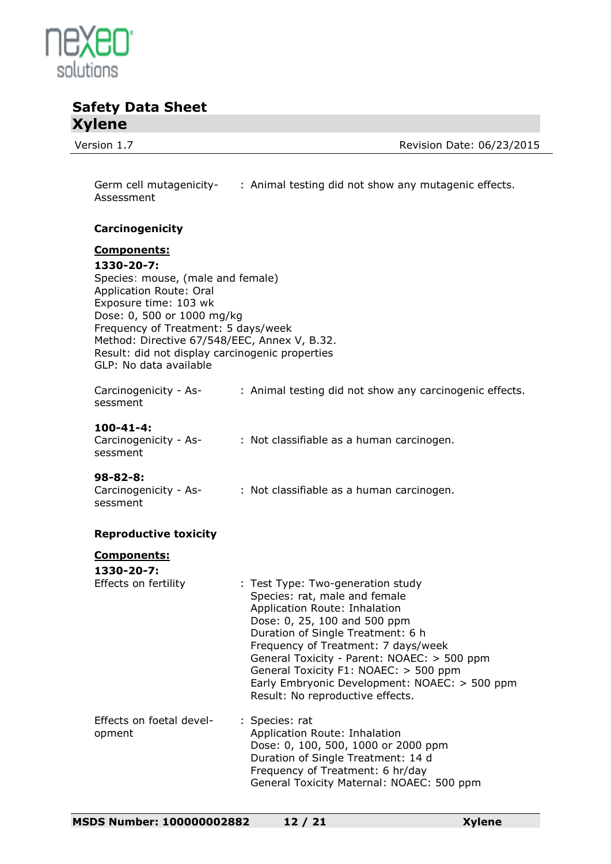

Version 1.7 Version 1.7

Germ cell mutagenicity-: Animal testing did not show any mutagenic effects. Assessment

#### **Carcinogenicity**

### **Components:**

#### **1330-20-7:**

Species: mouse, (male and female) Application Route: Oral Exposure time: 103 wk Dose: 0, 500 or 1000 mg/kg Frequency of Treatment: 5 days/week Method: Directive 67/548/EEC, Annex V, B.32. Result: did not display carcinogenic properties GLP: No data available

Carcinogenicity - Assessment : Animal testing did not show any carcinogenic effects.

#### **100-41-4:**

| Carcinogenicity - As- | : Not classifiable as a human carcinogen. |  |  |
|-----------------------|-------------------------------------------|--|--|
| sessment              |                                           |  |  |

#### **98-82-8:**

| Carcinogenicity - As- | : Not classifiable as a human carcinogen. |
|-----------------------|-------------------------------------------|
| sessment              |                                           |

#### **Reproductive toxicity**

| <u>Components:</u>                 |                                                                                                                                                                                                                                                                                                                                                                                              |
|------------------------------------|----------------------------------------------------------------------------------------------------------------------------------------------------------------------------------------------------------------------------------------------------------------------------------------------------------------------------------------------------------------------------------------------|
| 1330-20-7:                         |                                                                                                                                                                                                                                                                                                                                                                                              |
| Effects on fertility               | : Test Type: Two-generation study<br>Species: rat, male and female<br>Application Route: Inhalation<br>Dose: 0, 25, 100 and 500 ppm<br>Duration of Single Treatment: 6 h<br>Frequency of Treatment: 7 days/week<br>General Toxicity - Parent: NOAEC: > 500 ppm<br>General Toxicity F1: NOAEC: > 500 ppm<br>Early Embryonic Development: NOAEC: > 500 ppm<br>Result: No reproductive effects. |
| Effects on foetal devel-<br>opment | : Species: rat<br>Application Route: Inhalation<br>Dose: 0, 100, 500, 1000 or 2000 ppm<br>Duration of Single Treatment: 14 d<br>Frequency of Treatment: 6 hr/day<br>General Toxicity Maternal: NOAEC: 500 ppm                                                                                                                                                                                |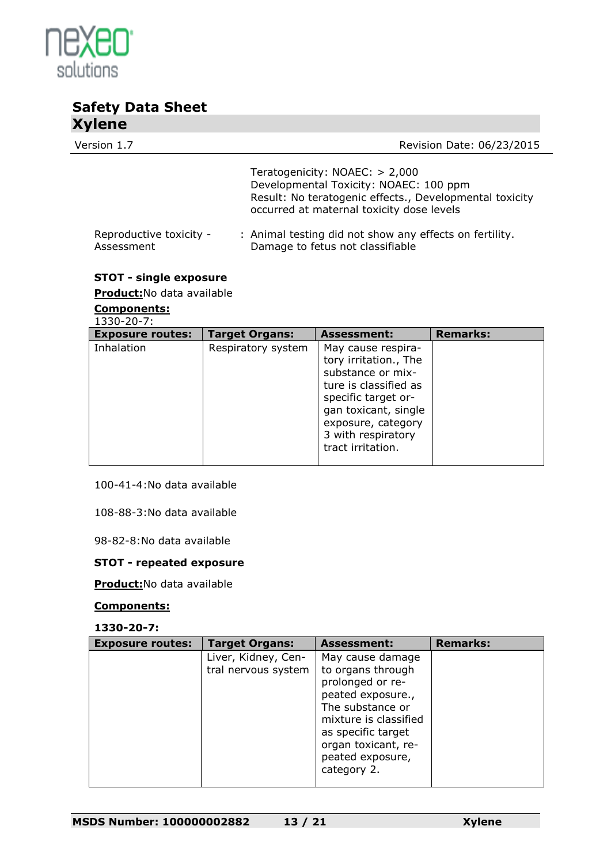

Version 1.7 Version 1.7

Teratogenicity: NOAEC: > 2,000 Developmental Toxicity: NOAEC: 100 ppm Result: No teratogenic effects., Developmental toxicity occurred at maternal toxicity dose levels

#### Reproductive toxicity - Assessment : Animal testing did not show any effects on fertility. Damage to fetus not classifiable

### **STOT - single exposure**

**Product:**No data available

#### **Components:**  $230-20$

| 1330-20-7:              |  |
|-------------------------|--|
| <b>F</b> YDOSULA FOUTES |  |

| <b>Exposure routes:</b> | <b>Target Organs:</b> | <b>Assessment:</b>                                                                                                                                                                                        | <b>Remarks:</b> |
|-------------------------|-----------------------|-----------------------------------------------------------------------------------------------------------------------------------------------------------------------------------------------------------|-----------------|
| Inhalation              | Respiratory system    | May cause respira-<br>tory irritation., The<br>substance or mix-<br>ture is classified as<br>specific target or-<br>gan toxicant, single<br>exposure, category<br>3 with respiratory<br>tract irritation. |                 |

100-41-4:No data available

108-88-3:No data available

98-82-8:No data available

#### **STOT - repeated exposure**

**Product:**No data available

#### **Components:**

**1330-20-7:**

| <b>Exposure routes:</b> | <b>Target Organs:</b>                      | <b>Assessment:</b>                                                                                                                                                                                          | <b>Remarks:</b> |
|-------------------------|--------------------------------------------|-------------------------------------------------------------------------------------------------------------------------------------------------------------------------------------------------------------|-----------------|
|                         | Liver, Kidney, Cen-<br>tral nervous system | May cause damage<br>to organs through<br>prolonged or re-<br>peated exposure.,<br>The substance or<br>mixture is classified<br>as specific target<br>organ toxicant, re-<br>peated exposure,<br>category 2. |                 |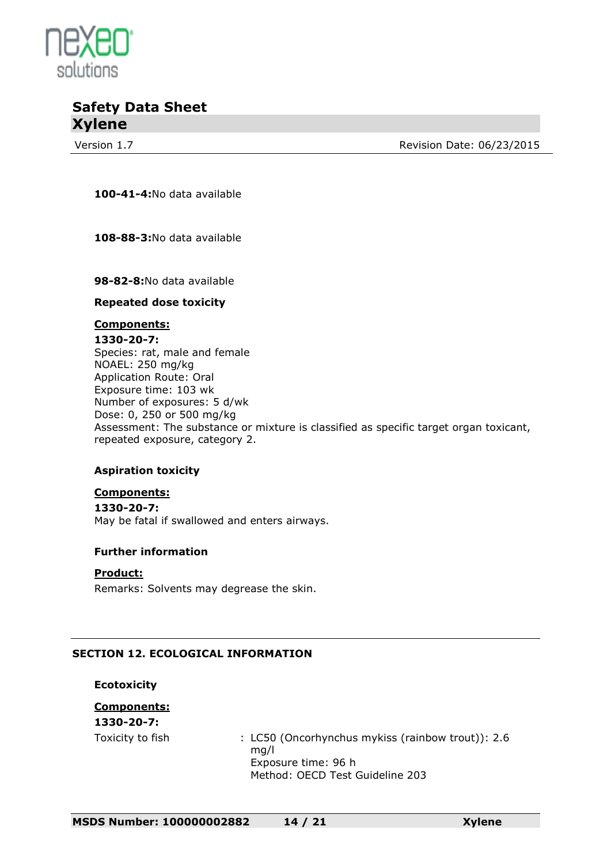

Version 1.7 **Review Accord 2.5 Revision Date: 06/23/2015** 

**100-41-4:**No data available

**108-88-3:**No data available

**98-82-8:**No data available

#### **Repeated dose toxicity**

#### **Components:**

**1330-20-7:** Species: rat, male and female NOAEL: 250 mg/kg Application Route: Oral Exposure time: 103 wk Number of exposures: 5 d/wk Dose: 0, 250 or 500 mg/kg Assessment: The substance or mixture is classified as specific target organ toxicant, repeated exposure, category 2.

#### **Aspiration toxicity**

#### **Components:**

**1330-20-7:** May be fatal if swallowed and enters airways.

#### **Further information**

#### **Product:**

Remarks: Solvents may degrease the skin.

#### **SECTION 12. ECOLOGICAL INFORMATION**

**Ecotoxicity**

### **Components:**

**1330-20-7:**

Toxicity to fish : LC50 (Oncorhynchus mykiss (rainbow trout)): 2.6 mg/l Exposure time: 96 h Method: OECD Test Guideline 203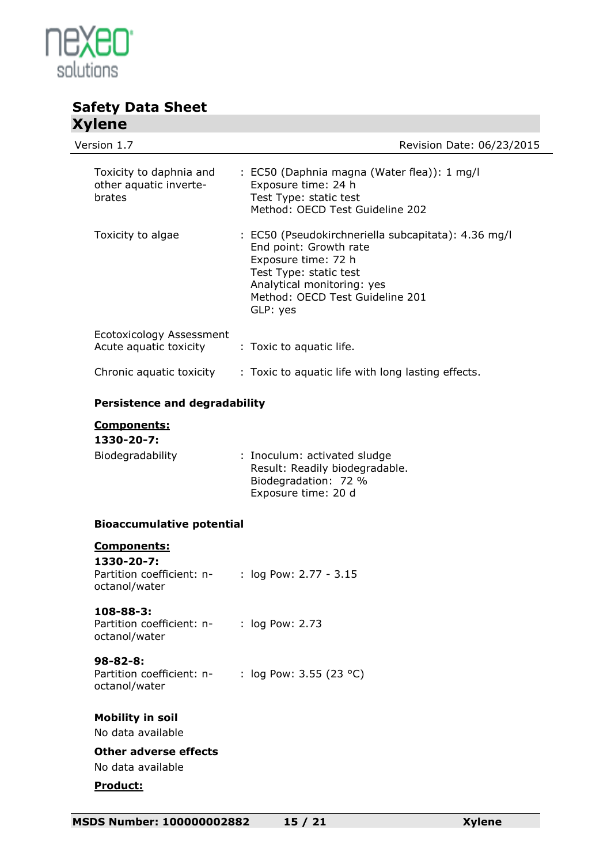

| <b>TYTE</b>                                                                    |                                                                                                                                                                                                             |                           |
|--------------------------------------------------------------------------------|-------------------------------------------------------------------------------------------------------------------------------------------------------------------------------------------------------------|---------------------------|
| Version 1.7                                                                    |                                                                                                                                                                                                             | Revision Date: 06/23/2015 |
| Toxicity to daphnia and<br>other aquatic inverte-<br>brates                    | : EC50 (Daphnia magna (Water flea)): 1 mg/l<br>Exposure time: 24 h<br>Test Type: static test<br>Method: OECD Test Guideline 202                                                                             |                           |
| Toxicity to algae                                                              | : EC50 (Pseudokirchneriella subcapitata): 4.36 mg/l<br>End point: Growth rate<br>Exposure time: 72 h<br>Test Type: static test<br>Analytical monitoring: yes<br>Method: OECD Test Guideline 201<br>GLP: yes |                           |
| Ecotoxicology Assessment<br>Acute aquatic toxicity                             | : Toxic to aquatic life.                                                                                                                                                                                    |                           |
| Chronic aquatic toxicity                                                       | : Toxic to aquatic life with long lasting effects.                                                                                                                                                          |                           |
| <b>Persistence and degradability</b>                                           |                                                                                                                                                                                                             |                           |
| <b>Components:</b><br>1330-20-7:<br>Biodegradability                           | : Inoculum: activated sludge<br>Result: Readily biodegradable.<br>Biodegradation: 72 %<br>Exposure time: 20 d                                                                                               |                           |
| <b>Bioaccumulative potential</b>                                               |                                                                                                                                                                                                             |                           |
| <b>Components:</b><br>1330-20-7:<br>Partition coefficient: n-<br>octanol/water | : $log Pow: 2.77 - 3.15$                                                                                                                                                                                    |                           |
| 108-88-3:<br>Partition coefficient: n-<br>octanol/water                        | : log Pow: 2.73                                                                                                                                                                                             |                           |
| $98 - 82 - 8:$<br>Partition coefficient: n-<br>octanol/water                   | : log Pow: 3.55 (23 °C)                                                                                                                                                                                     |                           |
| <b>Mobility in soil</b><br>No data available                                   |                                                                                                                                                                                                             |                           |
| <b>Other adverse effects</b><br>No data available                              |                                                                                                                                                                                                             |                           |
| Product:                                                                       |                                                                                                                                                                                                             |                           |
|                                                                                |                                                                                                                                                                                                             |                           |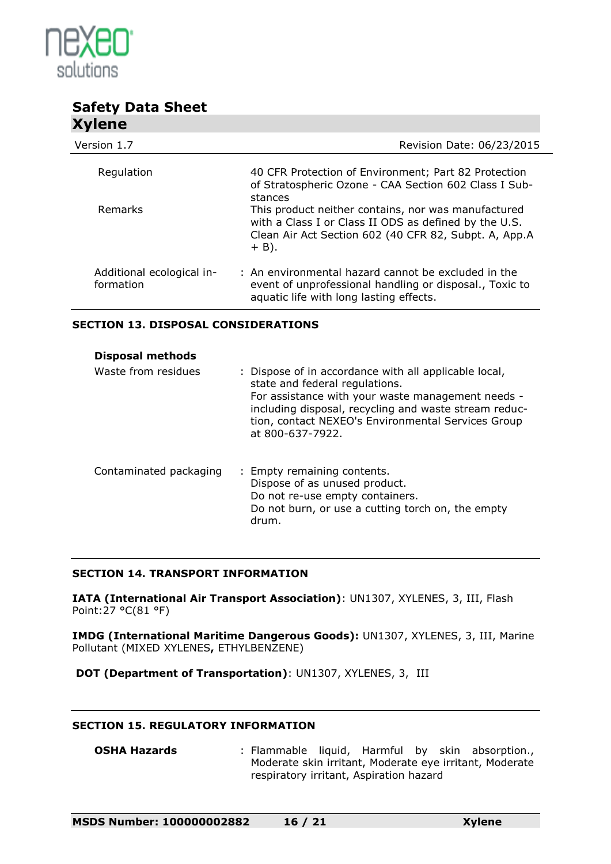

| Version 1.7                            | Revision Date: 06/23/2015                                                                                                                                                        |
|----------------------------------------|----------------------------------------------------------------------------------------------------------------------------------------------------------------------------------|
| Regulation                             | 40 CFR Protection of Environment; Part 82 Protection                                                                                                                             |
|                                        | of Stratospheric Ozone - CAA Section 602 Class I Sub-<br>stances                                                                                                                 |
| Remarks                                | This product neither contains, nor was manufactured<br>with a Class I or Class II ODS as defined by the U.S.<br>Clean Air Act Section 602 (40 CFR 82, Subpt. A, App.A<br>$+$ B). |
| Additional ecological in-<br>formation | : An environmental hazard cannot be excluded in the<br>event of unprofessional handling or disposal., Toxic to<br>aquatic life with long lasting effects.                        |

#### **SECTION 13. DISPOSAL CONSIDERATIONS**

| <b>Disposal methods</b> |                                                                                                                                                                                                                                                                                 |
|-------------------------|---------------------------------------------------------------------------------------------------------------------------------------------------------------------------------------------------------------------------------------------------------------------------------|
| Waste from residues     | : Dispose of in accordance with all applicable local,<br>state and federal regulations.<br>For assistance with your waste management needs -<br>including disposal, recycling and waste stream reduc-<br>tion, contact NEXEO's Environmental Services Group<br>at 800-637-7922. |
| Contaminated packaging  | : Empty remaining contents.<br>Dispose of as unused product.<br>Do not re-use empty containers.<br>Do not burn, or use a cutting torch on, the empty<br>drum.                                                                                                                   |

#### **SECTION 14. TRANSPORT INFORMATION**

**IATA (International Air Transport Association)**: UN1307, XYLENES, 3, III, Flash Point:27 °C(81 °F)

**IMDG (International Maritime Dangerous Goods):** UN1307, XYLENES, 3, III, Marine Pollutant (MIXED XYLENES**,** ETHYLBENZENE)

**DOT (Department of Transportation)**: UN1307, XYLENES, 3, III

#### **SECTION 15. REGULATORY INFORMATION**

**OSHA Hazards** : Flammable liquid, Harmful by skin absorption., Moderate skin irritant, Moderate eye irritant, Moderate respiratory irritant, Aspiration hazard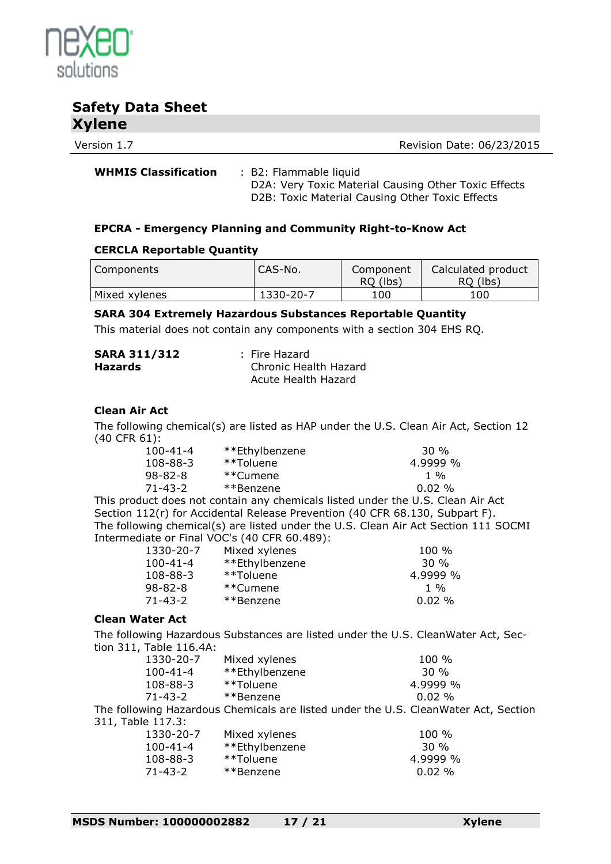

Version 1.7 **Review Accord 2.5 Revision Date: 06/23/2015** 

**WHMIS Classification** : B2: Flammable liquid D2A: Very Toxic Material Causing Other Toxic Effects D2B: Toxic Material Causing Other Toxic Effects

#### **EPCRA - Emergency Planning and Community Right-to-Know Act**

#### **CERCLA Reportable Quantity**

| Components    | I CAS-No. | Component<br>RO (lbs) | Calculated product<br>RO (lbs) |
|---------------|-----------|-----------------------|--------------------------------|
| Mixed xylenes | 1330-20-7 | 100                   | 100                            |

#### **SARA 304 Extremely Hazardous Substances Reportable Quantity**

This material does not contain any components with a section 304 EHS RQ.

| <b>SARA 311/312</b> | : Fire Hazard         |
|---------------------|-----------------------|
| <b>Hazards</b>      | Chronic Health Hazard |
|                     | Acute Health Hazard   |

#### **Clean Air Act**

The following chemical(s) are listed as HAP under the U.S. Clean Air Act, Section 12 (40 CFR 61):

| $100 - 41 - 4$ | **Ethylbenzene | 30 %       |
|----------------|----------------|------------|
| $108 - 88 - 3$ | **Toluene      | $4.9999\%$ |
| 98-82-8        | **Cumene       | 1 %        |
| 71-43-2        | **Benzene      | $0.02\%$   |
|                |                |            |

This product does not contain any chemicals listed under the U.S. Clean Air Act Section 112(r) for Accidental Release Prevention (40 CFR 68.130, Subpart F). The following chemical(s) are listed under the U.S. Clean Air Act Section 111 SOCMI Intermediate or Final VOC's (40 CFR 60.489):

| 1330-20-7      | Mixed xylenes  | $100 \%$        |
|----------------|----------------|-----------------|
| $100 - 41 - 4$ | **Ethylbenzene | 30 %            |
| 108-88-3       | **Toluene      | $4.9999\%$      |
| 98-82-8        | **Cumene       | $1 \frac{0}{0}$ |
| 71-43-2        | **Benzene      | $0.02\%$        |

#### **Clean Water Act**

The following Hazardous Substances are listed under the U.S. CleanWater Act, Section 311, Table 116.4A:

| 1330-20-7         | Mixed xylenes                                                                       | 100 %     |
|-------------------|-------------------------------------------------------------------------------------|-----------|
| $100 - 41 - 4$    | **Ethylbenzene                                                                      | 30%       |
| 108-88-3          | **Toluene                                                                           | 4.9999 %  |
| $71 - 43 - 2$     | **Benzene                                                                           | $0.02 \%$ |
|                   | The following Hazardous Chemicals are listed under the U.S. CleanWater Act, Section |           |
| 311, Table 117.3: |                                                                                     |           |
| 1330-20-7         | Mixed xylenes                                                                       | 100 %     |
| $100 - 41 - 4$    | **Ethylbenzene                                                                      | 30 %      |
| 108-88-3          | **Toluene                                                                           | 4.9999 %  |
| $71 - 43 - 2$     | **Benzene                                                                           | 0.02%     |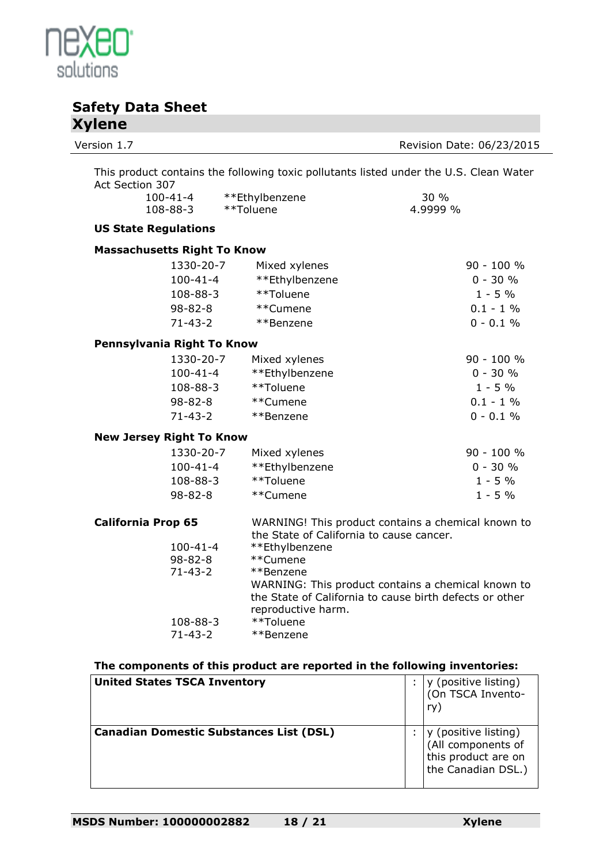

| Version 1.7                        |                |                                          | Revision Date: 06/23/2015                                                                                     |  |
|------------------------------------|----------------|------------------------------------------|---------------------------------------------------------------------------------------------------------------|--|
| Act Section 307                    |                |                                          | This product contains the following toxic pollutants listed under the U.S. Clean Water                        |  |
| $100 - 41 - 4$                     |                | **Ethylbenzene                           | 30 %                                                                                                          |  |
| $108 - 88 - 3$                     |                | **Toluene                                | 4.9999 %                                                                                                      |  |
| <b>US State Regulations</b>        |                |                                          |                                                                                                               |  |
| <b>Massachusetts Right To Know</b> |                |                                          |                                                                                                               |  |
|                                    | 1330-20-7      | Mixed xylenes                            | 90 - 100 %                                                                                                    |  |
|                                    | $100 - 41 - 4$ | **Ethylbenzene                           | $0 - 30 %$                                                                                                    |  |
|                                    | 108-88-3       | **Toluene                                | $1 - 5%$                                                                                                      |  |
|                                    | $98 - 82 - 8$  | **Cumene                                 | $0.1 - 1\%$                                                                                                   |  |
|                                    | $71 - 43 - 2$  | **Benzene                                | $0 - 0.1 %$                                                                                                   |  |
| Pennsylvania Right To Know         |                |                                          |                                                                                                               |  |
|                                    | 1330-20-7      | Mixed xylenes                            | 90 - 100 %                                                                                                    |  |
|                                    | $100 - 41 - 4$ | **Ethylbenzene                           | $0 - 30 %$                                                                                                    |  |
|                                    | 108-88-3       | **Toluene                                | $1 - 5%$                                                                                                      |  |
|                                    | $98 - 82 - 8$  | **Cumene                                 | $0.1 - 1 \%$                                                                                                  |  |
|                                    | $71 - 43 - 2$  | **Benzene                                | $0 - 0.1 %$                                                                                                   |  |
| <b>New Jersey Right To Know</b>    |                |                                          |                                                                                                               |  |
|                                    | 1330-20-7      | Mixed xylenes                            | 90 - 100 %                                                                                                    |  |
|                                    | $100 - 41 - 4$ | **Ethylbenzene                           | $0 - 30 %$                                                                                                    |  |
|                                    | 108-88-3       | **Toluene                                | $1 - 5%$                                                                                                      |  |
|                                    | $98 - 82 - 8$  | **Cumene                                 | $1 - 5 %$                                                                                                     |  |
| <b>California Prop 65</b>          |                | the State of California to cause cancer. | WARNING! This product contains a chemical known to                                                            |  |
|                                    | $100 - 41 - 4$ | **Ethylbenzene                           |                                                                                                               |  |
|                                    | $98 - 82 - 8$  | **Cumene                                 |                                                                                                               |  |
|                                    | $71 - 43 - 2$  | **Benzene                                | WARNING: This product contains a chemical known to<br>the State of California to cause birth defects or other |  |
|                                    | 108-88-3       | reproductive harm.<br>**Toluene          |                                                                                                               |  |
|                                    | $71 - 43 - 2$  | **Benzene                                |                                                                                                               |  |
|                                    |                |                                          |                                                                                                               |  |

### **The components of this product are reported in the following inventories:**

| <b>United States TSCA Inventory</b>            | y (positive listing)<br>(On TSCA Invento-<br>ry:                                        |
|------------------------------------------------|-----------------------------------------------------------------------------------------|
| <b>Canadian Domestic Substances List (DSL)</b> | y (positive listing)<br>(All components of<br>this product are on<br>the Canadian DSL.) |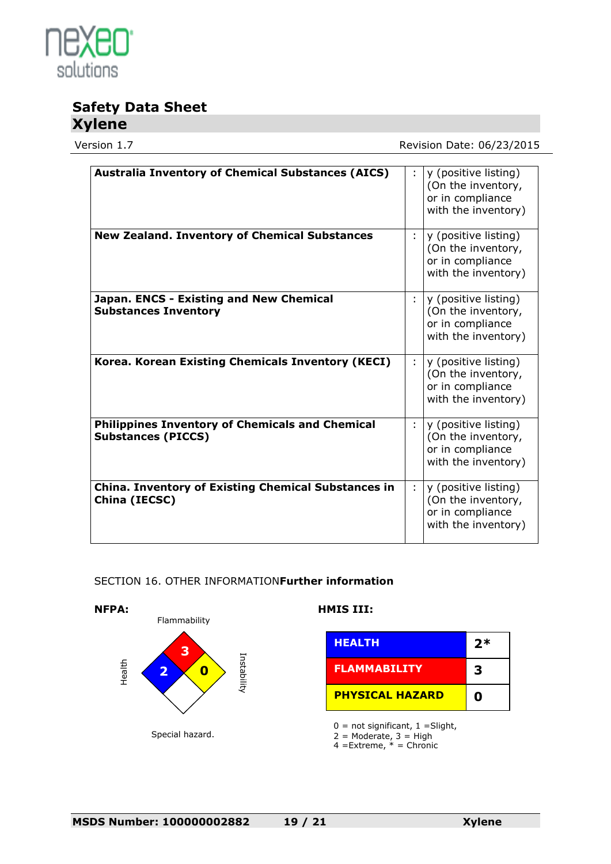

Version 1.7 Version 1.7

| <b>Australia Inventory of Chemical Substances (AICS)</b>                            |   | y (positive listing)<br>(On the inventory,<br>or in compliance<br>with the inventory) |
|-------------------------------------------------------------------------------------|---|---------------------------------------------------------------------------------------|
| <b>New Zealand. Inventory of Chemical Substances</b>                                | ÷ | y (positive listing)<br>(On the inventory,<br>or in compliance<br>with the inventory) |
| Japan. ENCS - Existing and New Chemical<br><b>Substances Inventory</b>              |   | y (positive listing)<br>(On the inventory,<br>or in compliance<br>with the inventory) |
| Korea. Korean Existing Chemicals Inventory (KECI)                                   | ÷ | y (positive listing)<br>(On the inventory,<br>or in compliance<br>with the inventory) |
| <b>Philippines Inventory of Chemicals and Chemical</b><br><b>Substances (PICCS)</b> | ÷ | y (positive listing)<br>(On the inventory,<br>or in compliance<br>with the inventory) |
| <b>China. Inventory of Existing Chemical Substances in</b><br>China (IECSC)         | ÷ | y (positive listing)<br>(On the inventory,<br>or in compliance<br>with the inventory) |

#### SECTION 16. OTHER INFORMATION**Further information**



4 =Extreme, \* = Chronic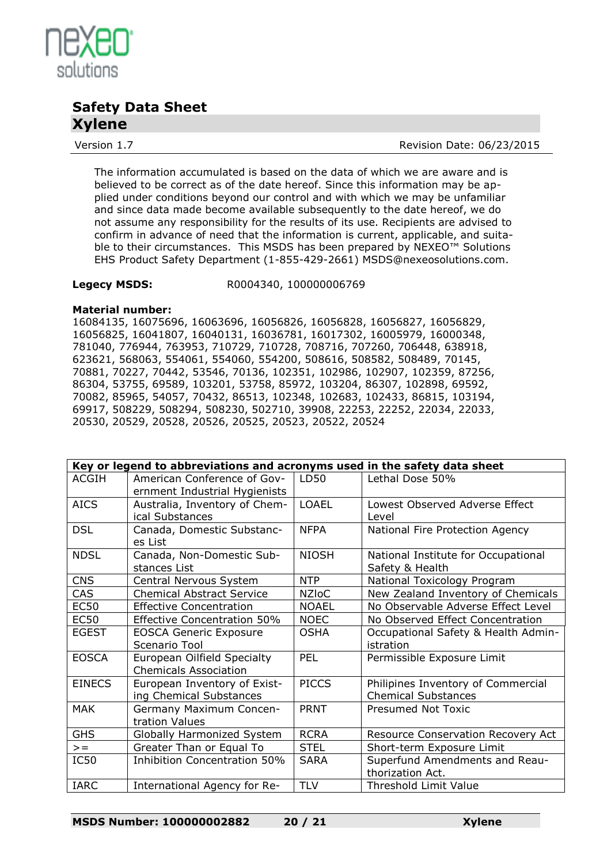

Version 1.7 **Review Accord 2.5 Revision Date: 06/23/2015** 

The information accumulated is based on the data of which we are aware and is believed to be correct as of the date hereof. Since this information may be applied under conditions beyond our control and with which we may be unfamiliar and since data made become available subsequently to the date hereof, we do not assume any responsibility for the results of its use. Recipients are advised to confirm in advance of need that the information is current, applicable, and suitable to their circumstances. This MSDS has been prepared by NEXEO™ Solutions EHS Product Safety Department (1-855-429-2661) MSDS@nexeosolutions.com.

**Legecy MSDS:** R0004340, 100000006769

#### **Material number:**

16084135, 16075696, 16063696, 16056826, 16056828, 16056827, 16056829, 16056825, 16041807, 16040131, 16036781, 16017302, 16005979, 16000348, 781040, 776944, 763953, 710729, 710728, 708716, 707260, 706448, 638918, 623621, 568063, 554061, 554060, 554200, 508616, 508582, 508489, 70145, 70881, 70227, 70442, 53546, 70136, 102351, 102986, 102907, 102359, 87256, 86304, 53755, 69589, 103201, 53758, 85972, 103204, 86307, 102898, 69592, 70082, 85965, 54057, 70432, 86513, 102348, 102683, 102433, 86815, 103194, 69917, 508229, 508294, 508230, 502710, 39908, 22253, 22252, 22034, 22033, 20530, 20529, 20528, 20526, 20525, 20523, 20522, 20524

| Key or legend to abbreviations and acronyms used in the safety data sheet |                                                              |              |                                                                  |  |
|---------------------------------------------------------------------------|--------------------------------------------------------------|--------------|------------------------------------------------------------------|--|
| <b>ACGIH</b>                                                              | American Conference of Gov-<br>ernment Industrial Hygienists | LD50         | Lethal Dose 50%                                                  |  |
| <b>AICS</b>                                                               | Australia, Inventory of Chem-<br>ical Substances             | <b>LOAEL</b> | Lowest Observed Adverse Effect<br>Level                          |  |
| <b>DSL</b>                                                                | Canada, Domestic Substanc-<br>es List                        | <b>NFPA</b>  | National Fire Protection Agency                                  |  |
| <b>NDSL</b>                                                               | Canada, Non-Domestic Sub-<br>stances List                    | <b>NIOSH</b> | National Institute for Occupational<br>Safety & Health           |  |
| <b>CNS</b>                                                                | Central Nervous System                                       | <b>NTP</b>   | National Toxicology Program                                      |  |
| <b>CAS</b>                                                                | <b>Chemical Abstract Service</b>                             | <b>NZIoC</b> | New Zealand Inventory of Chemicals                               |  |
| <b>EC50</b>                                                               | <b>Effective Concentration</b>                               | <b>NOAEL</b> | No Observable Adverse Effect Level                               |  |
| <b>EC50</b>                                                               | <b>Effective Concentration 50%</b>                           | <b>NOEC</b>  | No Observed Effect Concentration                                 |  |
| <b>EGEST</b>                                                              | <b>EOSCA Generic Exposure</b><br>Scenario Tool               | <b>OSHA</b>  | Occupational Safety & Health Admin-<br>istration                 |  |
| <b>EOSCA</b>                                                              | European Oilfield Specialty<br><b>Chemicals Association</b>  | <b>PEL</b>   | Permissible Exposure Limit                                       |  |
| <b>EINECS</b>                                                             | European Inventory of Exist-<br>ing Chemical Substances      | <b>PICCS</b> | Philipines Inventory of Commercial<br><b>Chemical Substances</b> |  |
| <b>MAK</b>                                                                | Germany Maximum Concen-<br>tration Values                    | <b>PRNT</b>  | Presumed Not Toxic                                               |  |
| <b>GHS</b>                                                                | Globally Harmonized System                                   | <b>RCRA</b>  | Resource Conservation Recovery Act                               |  |
| $>=$                                                                      | Greater Than or Equal To                                     | <b>STEL</b>  | Short-term Exposure Limit                                        |  |
| IC50                                                                      | Inhibition Concentration 50%                                 | <b>SARA</b>  | Superfund Amendments and Reau-                                   |  |
|                                                                           |                                                              |              | thorization Act.                                                 |  |
| <b>IARC</b>                                                               | International Agency for Re-                                 | <b>TLV</b>   | Threshold Limit Value                                            |  |